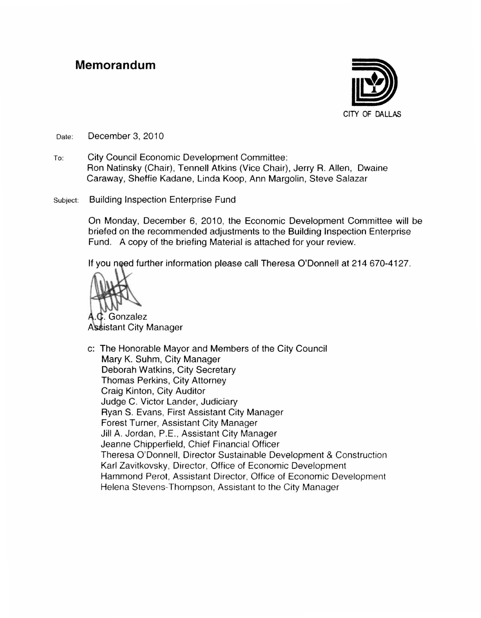#### **Memorandum**



Date: December 3, 2010

- To: City Council Economic Development Committee: Ron Natinsky (Chair), Tennell Atkins (Vice Chair), Jerry R. Allen, Dwaine Caraway, Sheffie Kadane, Linda Koop, Ann Margolin, Steve Salazar
- Subject: Building Inspection Enterprise Fund

On Monday, December 6, 2010, the Economic Development Committee will be briefed on the recommended adjustments to the Building Inspection Enterprise Fund. A copy of the briefing Material is attached for your review.

If you need further information please call Theresa O'Donnell at 214 670-4127.



. Gonzalez Assistant City Manager

c: The Honorable Mayor and Members of the City Council Mary K. Suhm, City Manager Deborah Watkins, City Secretary Thomas Perkins, City Attorney Craig Kinton, City Auditor Judge C. Victor Lander, Judiciary Ryan S. Evans, First Assistant City Manager Forest Turner, Assistant City Manager Jill A. Jordan, P.E., Assistant City Manager Jeanne Chipperfield, Chief Financial Officer Theresa O'Donnell. Director Sustainable Development & Construction Karl Zavitkovsky, Director, Office of Economic Development Hammond Perot. Assistant Director, Office of Economic Development Helena Stevens-Thompson, Assistant to the City Manager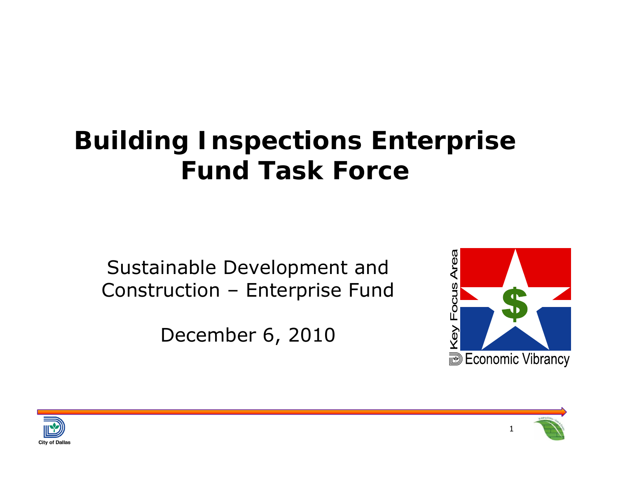## **Building Inspections Enterprise Fund Task Force**

Sustainable Development and Construction – Enterprise Fund

December 6, 2010





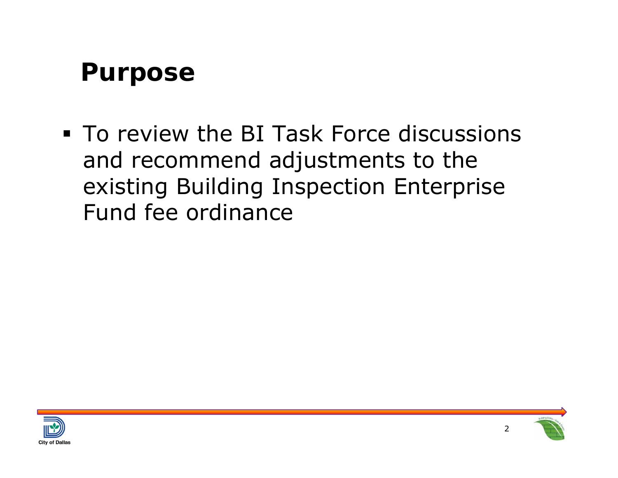#### **Purpose**

**To review the BI Task Force discussions** and recommend adjustments to the existing Building Inspection Enterprise Fund fee ordinance



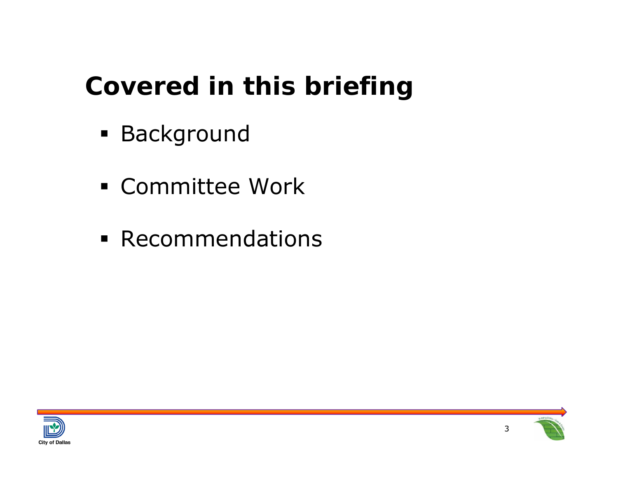## **Covered in this briefing**

- Background
- Committee Work
- **Recommendations**





3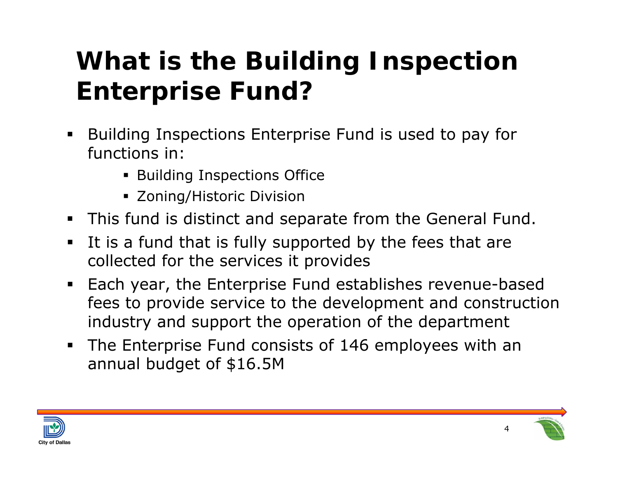## **What is the Building Inspection Enterprise Fund?**

- $\blacksquare$  Building Inspections Enterprise Fund is used to pay for functions in:
	- **Building Inspections Office**
	- Zoning/Historic Division
- $\blacksquare$ This fund is distinct and separate from the General Fund.
- $\blacksquare$  It is a fund that is fully supported by the fees that are collected for the services it provides
- Each year, the Enterprise Fund establishes revenue-based fees to provide service to the development and construction industry and support the operation of the department
- The Enterprise Fund consists of 146 employees with an annual budget of \$16.5M





4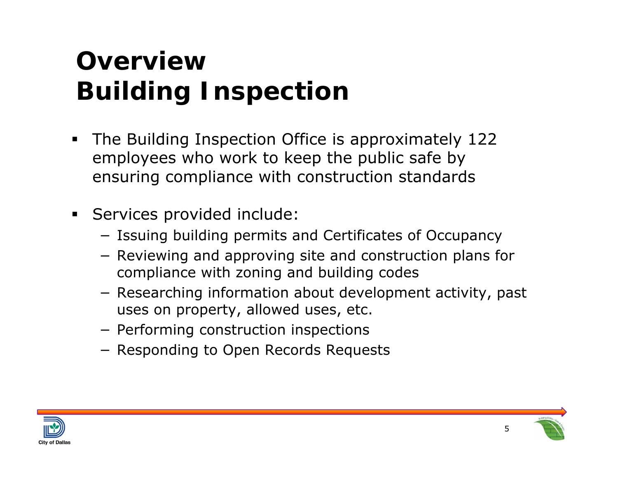## **Overview Building Inspection**

- $\blacksquare$  The Building Inspection Office is approximately 122 employees who work to keep the public safe by ensuring compliance with construction standards
- ш Services provided include:
	- − Issuing building permits and Certificates of Occupancy
	- − Reviewing and approving site and construction plans for compliance with zoning and building codes
	- − Researching information about development activity, past uses on property, allowed uses, etc.
	- − Performing construction inspections
	- − Responding to Open Records Requests



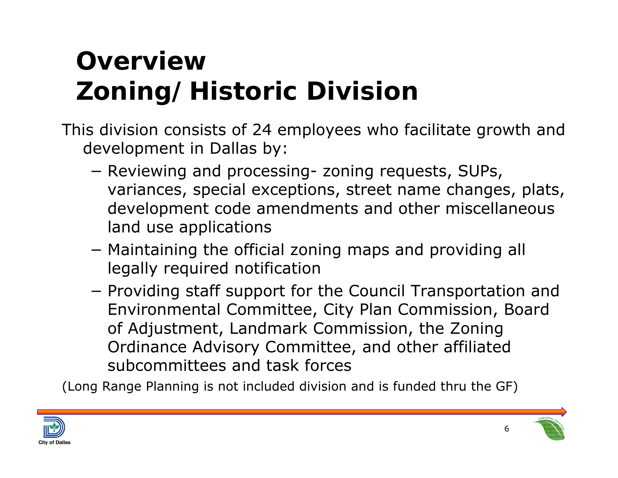## **Overview Zoning/Historic Division**

This division consists of 24 employees who facilitate growth and development in Dallas by:

- − Reviewing and processing- zoning requests, SUPs, variances, special exceptions, street name changes, plats, development code amendments and other miscellaneous land use applications
- − Maintaining the official zoning maps and providing all legally required notification
- −- Providing staff support for the Council Transportation and Environmental Committee, City Plan Commission, Board of Adjustment, Landmark Commission, the Zoning Ordinance Advisory Committee, and other affiliated subcommittees and task forces

(Long Range Planning is not included division and is funded thru the GF)



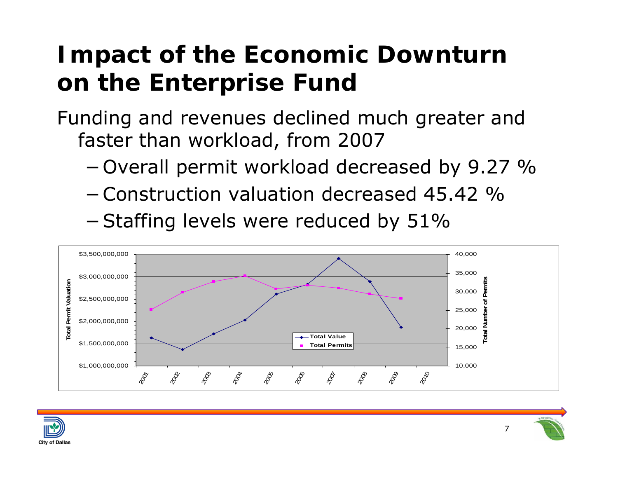### **Impact of the Economic Downturn on the Enterprise Fund**

Funding and revenues declined much greater and faster than workload, from 2007

- <sup>−</sup>Overall permit workload decreased by 9.27 %
- −Construction valuation decreased 45.42 %
- <sup>−</sup>Staffing levels were reduced by 51%





7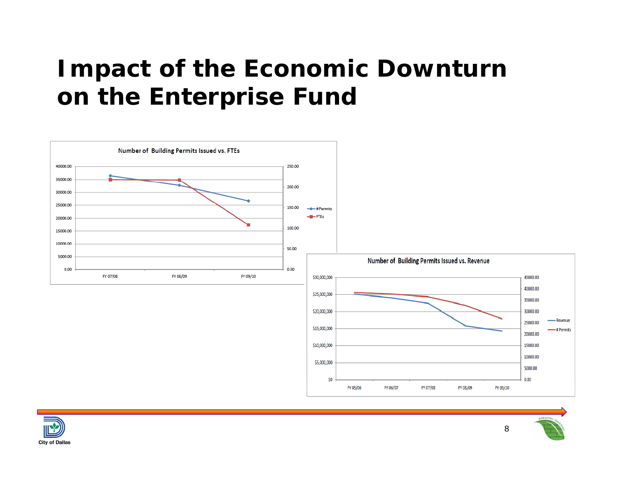### **Impact of the Economic Downturn on the Enterprise Fund**





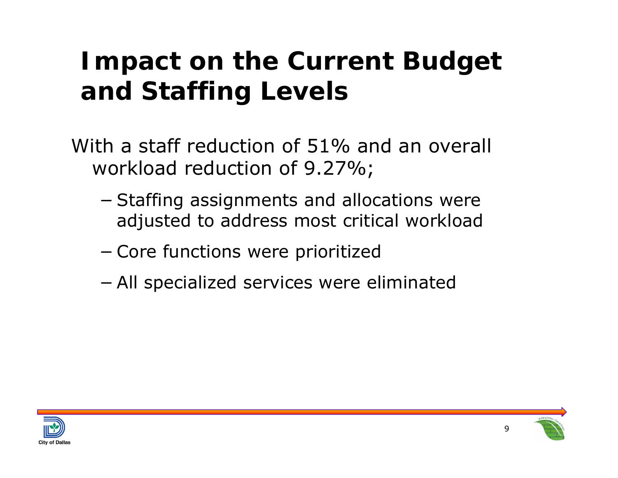## **Impact on the Current Budget and Staffing Levels**

- With a staff reduction of 51% and an overall workload reduction of 9.27%;
	- −– Staffing assignments and allocations were adjusted to address most critical workload
	- −Core functions were prioritized
	- −All specialized services were eliminated



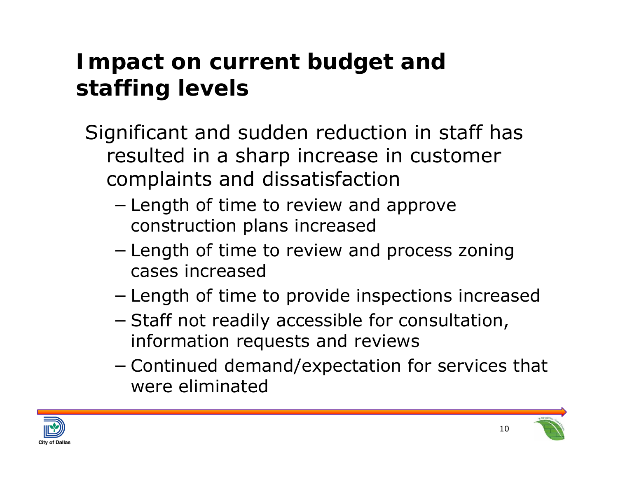#### **Impact on current budget and staffing levels**

- Significant and sudden reduction in staff has resulted in a sharp increase in customer complaints and dissatisfaction
	- −– Length of time to review and approve construction plans increased
	- −– Length of time to review and process zoning cases increased
	- −Length of time to provide inspections increased
	- −- Staff not readily accessible for consultation, information requests and reviews
	- − Continued demand/expectation for services that were eliminated



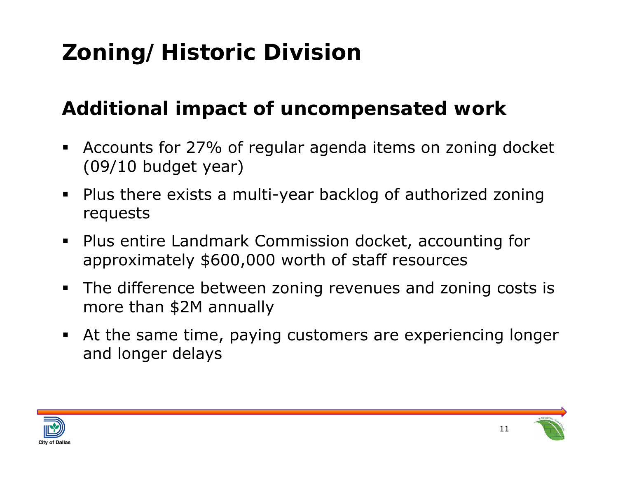### **Zoning/Historic Division**

#### **Additional impact of uncompensated work**

- $\blacksquare$  Accounts for 27% of regular agenda items on zoning docket (09/10 budget year)
- Plus there exists a multi-year backlog of authorized zoning requests
- Plus entire Landmark Commission docket, accounting for approximately \$600,000 worth of staff resources
- The difference between zoning revenues and zoning costs is more than \$2M annually
- At the same time, paying customers are experiencing longer and longer delays



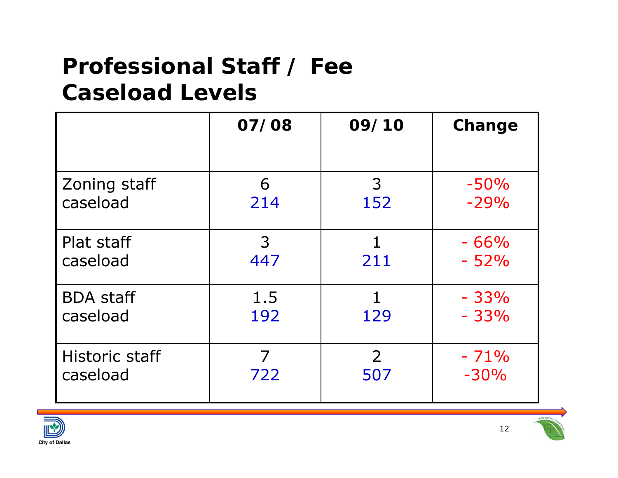#### **Professional Staff / Fee Caseload Levels**

|                       | 07/08 | 09/10          | Change |
|-----------------------|-------|----------------|--------|
| Zoning staff          | 6     | 3              | $-50%$ |
| caseload              | 214   | 152            | $-29%$ |
| Plat staff            | 3     | 1              | $-66%$ |
| caseload              | 447   | 211            | $-52%$ |
| <b>BDA staff</b>      | 1.5   | 129            | $-33%$ |
| caseload              | 192   |                | $-33%$ |
| <b>Historic staff</b> | 7     | $\overline{2}$ | $-71%$ |
| caseload              | 722   | 507            | $-30%$ |



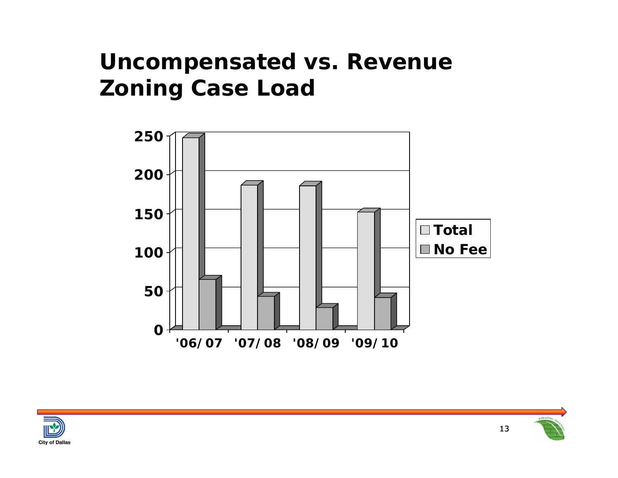#### **Uncompensated vs. Revenue Zoning Case Load**





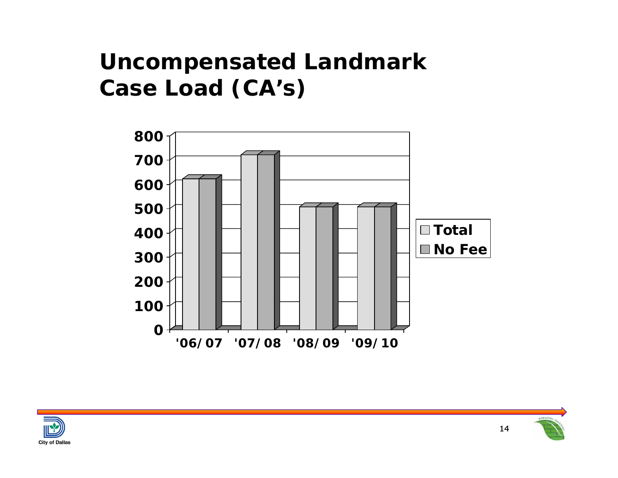#### **Uncompensated Landmark Case Load (CA's)**





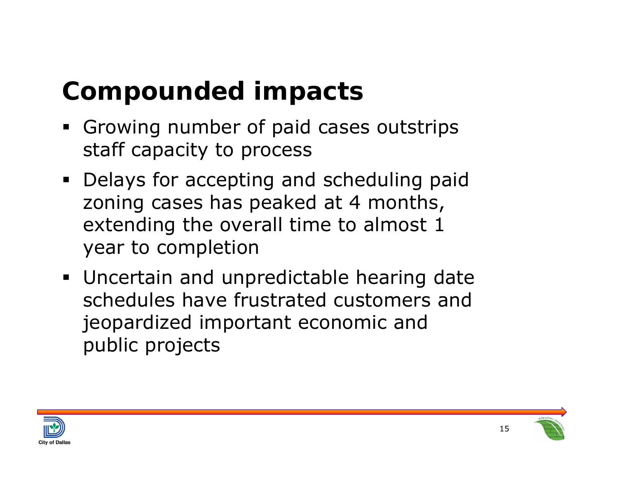## **Compounded impacts**

- **Growing number of paid cases outstrips** staff capacity to process
- **Delays for accepting and scheduling paid** zoning cases has peaked at 4 months, extending the overall time to almost 1 year to completion
- **Uncertain and unpredictable hearing date** schedules have frustrated customers and jeopardized important economic and public projects



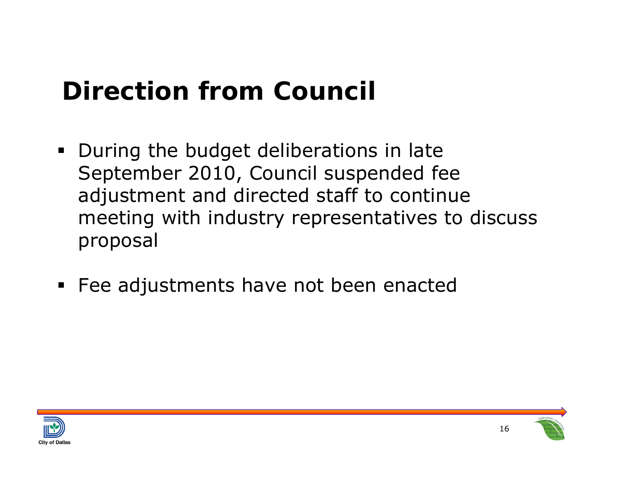## **Direction from Council**

- **During the budget deliberations in late** September 2010, Council suspended fee adjustment and directed staff to continue meeting with industry representatives to discuss proposal
- Fee adjustments have not been enacted



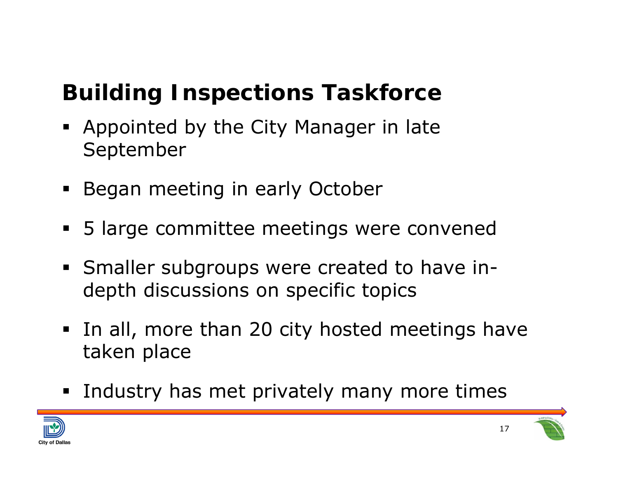### **Building Inspections Taskforce**

- Appointed by the City Manager in late September
- **Began meeting in early October**
- 5 large committee meetings were convened
- Smaller subgroups were created to have indepth discussions on specific topics
- **In all, more than 20 city hosted meetings have** taken place
- **Industry has met privately many more times**



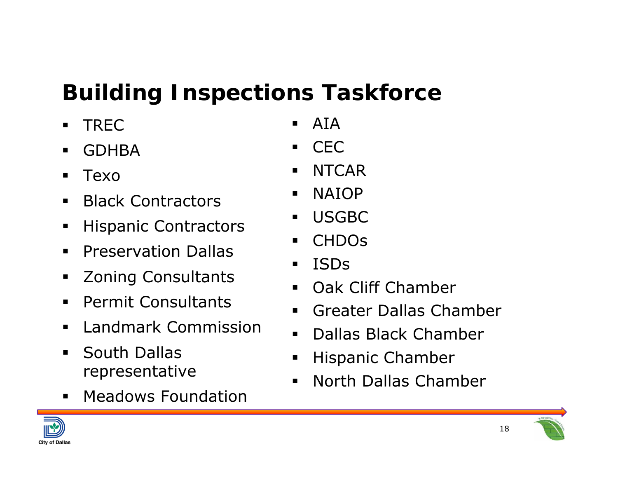### **Building Inspections Taskforce**

- $\blacksquare$ TREC
- $\blacksquare$ GDHBA
- ш Texo
- $\blacksquare$ Black Contractors
- ٠ Hispanic Contractors
- $\blacksquare$ Preservation Dallas
- ٠ Zoning Consultants
- $\blacksquare$ Permit Consultants
- Landmark Commission
- ٠ South Dallas representative
- ٠ Meadows Foundation
- $\blacksquare$ AIA
- $\blacksquare$ CEC
- $\blacksquare$ **NTCAR**
- $\blacksquare$ NAIOP
- $\blacksquare$ USGBC
- $\blacksquare$ CHDOs
- $\blacksquare$ ISDs
- $\blacksquare$ Oak Cliff Chamber
- $\blacksquare$ Greater Dallas Chamber
- $\blacksquare$ Dallas Black Chamber
- $\blacksquare$ Hispanic Chamber
- $\blacksquare$ North Dallas Chamber



18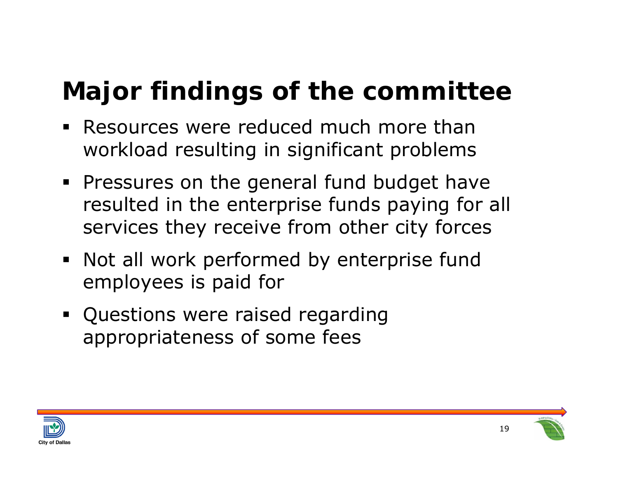## **Major findings of the committee**

- Resources were reduced much more than workload resulting in significant problems
- **Pressures on the general fund budget have** resulted in the enterprise funds paying for all services they receive from other city forces
- Not all work performed by enterprise fund employees is paid for
- **Questions were raised regarding** appropriateness of some fees



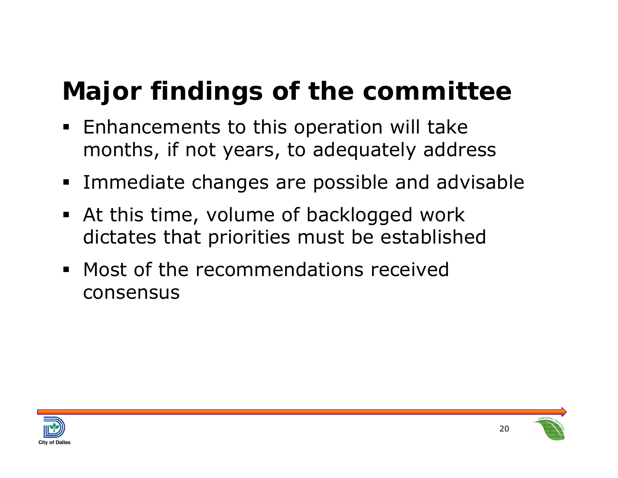## **Major findings of the committee**

- **Enhancements to this operation will take** months, if not years, to adequately address
- **Immediate changes are possible and advisable**
- At this time, volume of backlogged work dictates that priorities must be established
- **Most of the recommendations received** consensus



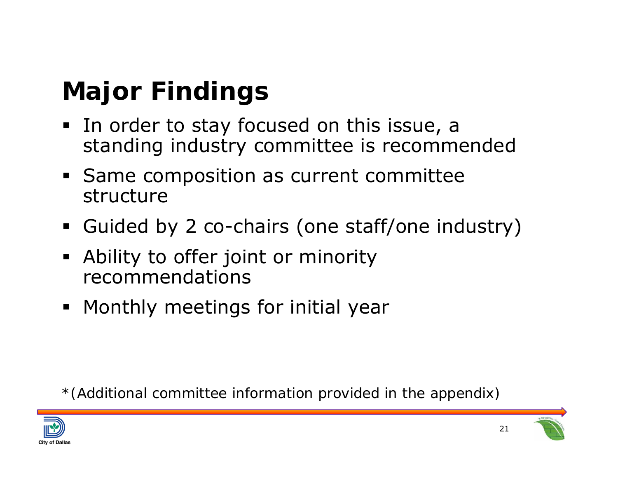## **Major Findings**

- **In order to stay focused on this issue, a** standing industry committee is recommended
- **Same composition as current committee** structure
- Guided by 2 co-chairs (one staff/one industry)
- Ability to offer joint or minority recommendations
- **Monthly meetings for initial year**

*\*(Additional committee information provided in the appendix)*



21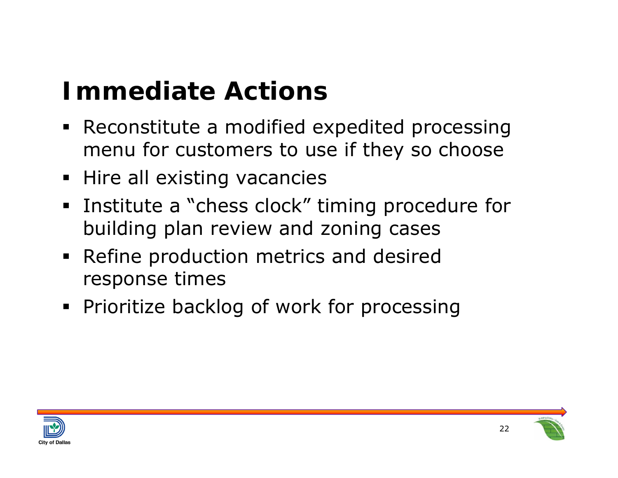## **Immediate Actions**

- Reconstitute a modified expedited processing menu for customers to use if they so choose
- **Hire all existing vacancies**
- **Institute a "chess clock" timing procedure for "** building plan review and zoning cases
- Refine production metrics and desired response times
- **Prioritize backlog of work for processing**



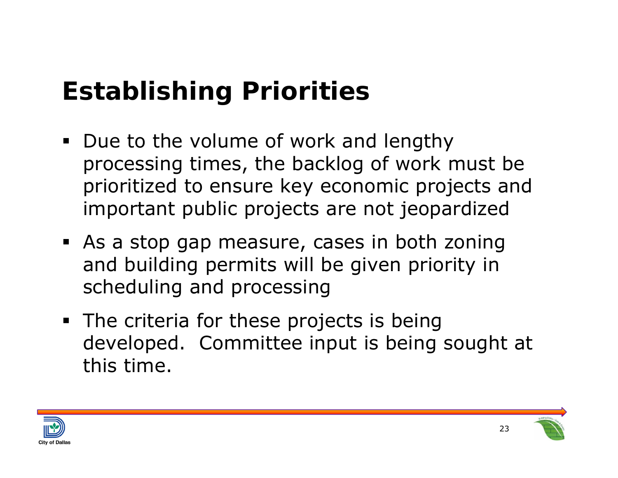## **Establishing Priorities**

- Due to the volume of work and lengthy processing times, the backlog of work must be prioritized to ensure key economic projects and important public projects are not jeopardized
- As a stop gap measure, cases in both zoning and building permits will be given priority in scheduling and processing
- **The criteria for these projects is being** developed. Committee input is being sought at this time.



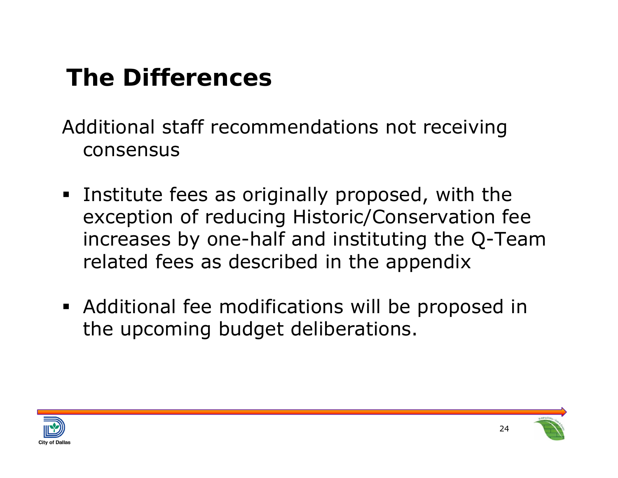## **The Differences**

Additional staff recommendations not receiving consensus

- **Institute fees as originally proposed, with the** exception of reducing Historic/Conservation fee increases by one-half and instituting the Q-Team related fees as described in the appendix
- Additional fee modifications will be proposed in the upcoming budget deliberations.



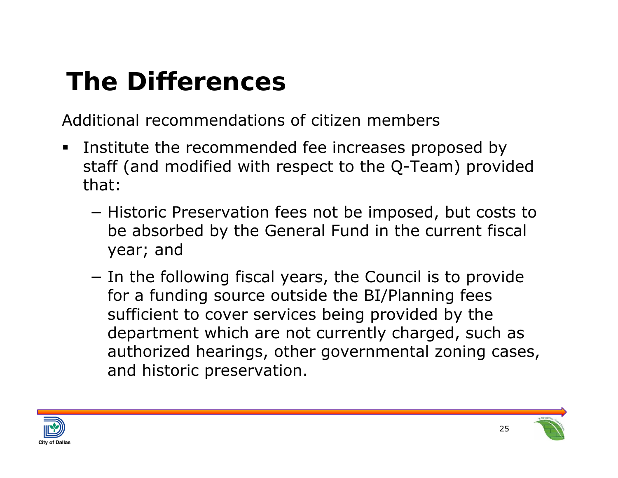## **The Differences**

Additional recommendations of citizen members

- ш Institute the recommended fee increases proposed by staff (and modified with respect to the Q-Team) provided that:
	- −– Historic Preservation fees not be imposed, but costs to be absorbed by the General Fund in the current fiscal year; and
	- −- In the following fiscal years, the Council is to provide for a funding source outside the BI/Planning fees sufficient to cover services being provided by the department which are not currently charged, such as authorized hearings, other governmental zoning cases, and historic preservation.



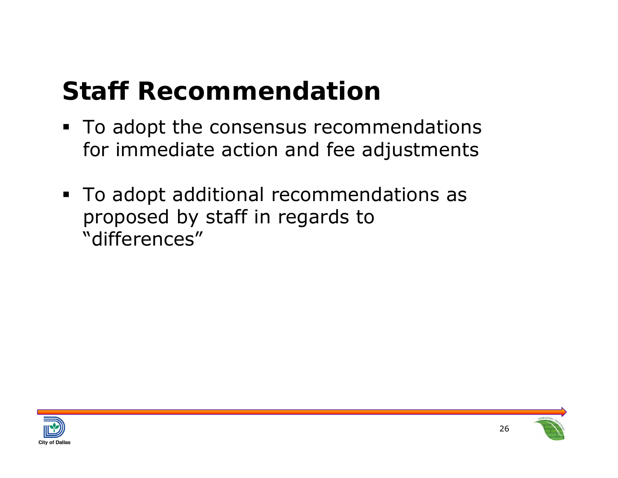## **Staff Recommendation**

- To adopt the consensus recommendations for immediate action and fee adjustments
- To adopt additional recommendations as proposed by staff in regards to "differences"



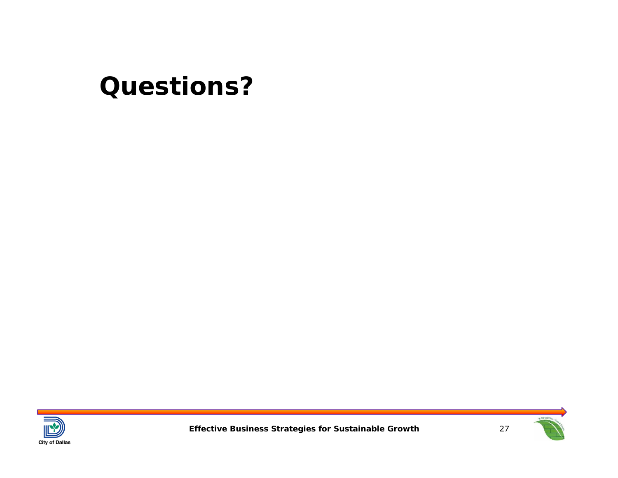### **Questions?**





**Effective Business Strategies for Sustainable Growth**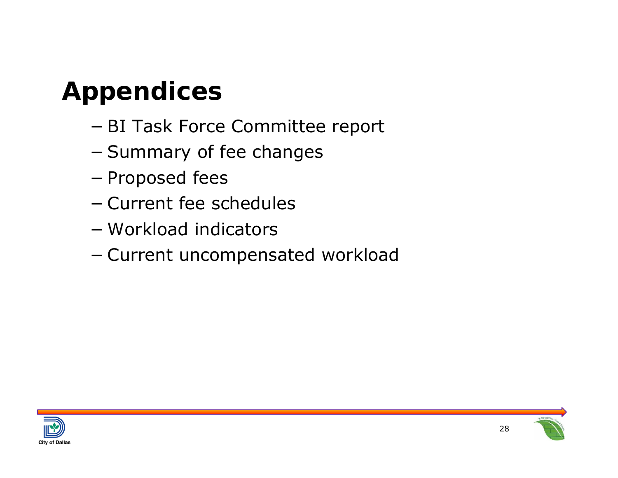## **Appendices**

- −BI Task Force Committee report
- −– Summary of fee changes
- −– Proposed fees
- − Current fee schedules
- − Workload indicators
- −Current uncompensated workload



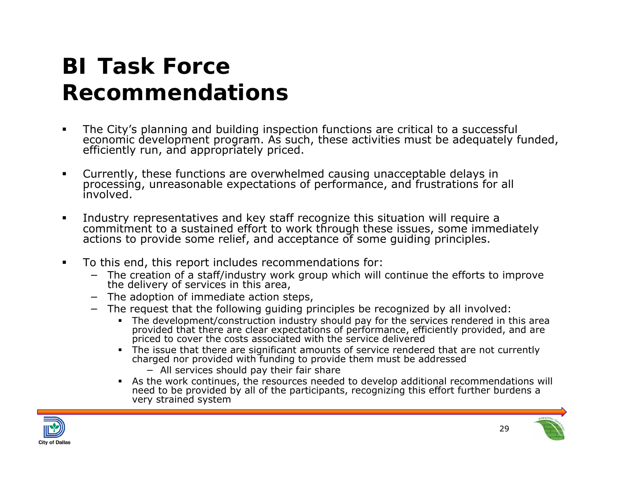#### **BI Task Force Recommendations**

- $\blacksquare$ The City's planning and building inspection functions are critical to a successful<br>economic development program. As such, these activities must be adequately funded,<br>efficiently run, and appropriately priced.
- $\blacksquare$ Currently, these functions are overwhelmed causing unacceptable delays in processing, unreasonable expectations of performance, and frustrations for all involved.
- $\blacksquare$ Industry representatives and key staff recognize this situation will require a commitment to a sustained effort to work through these issues, some immediately actions to provide some relief, and acceptance of some quiding
- $\blacksquare$  To this end, this report includes recommendations for:
	- − The creation of a staff/industry work group which will continue the efforts to improve the delivery of services in this area,
	- − The adoption of immediate action steps,
	- − The request that the following guiding principles be recognized by all involved:
		- The development/construction industry should pay for the services rendered in this area provided that there are clear expectations of performance, efficiently provided, and are priced to cover the costs associated with the service delivered
		- The issue that there are significant amounts of service rendered that are not currently charged nor provided with funding to provide them must be addressed
			- − All services should pay their fair share
		- As the work continues, the resources needed to develop additional recommendations will need to be provided by all of the participants, recognizing this effort further burdens a very strained system



29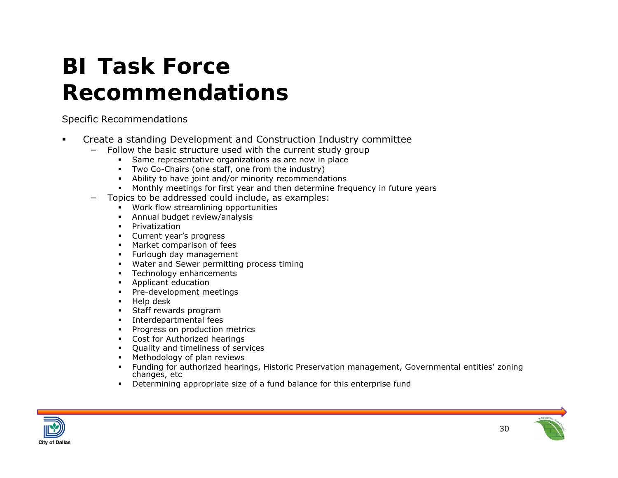#### **BI Task Force Recommendations**

Specific Recommendations

- $\blacksquare$  Create a standing Development and Construction Industry committee
	- − Follow the basic structure used with the current study group
		- $\mathbf{r}$ Same representative organizations as are now in place
		- Two Co-Chairs (one staff, one from the industry)
		- Ability to have joint and/or minority recommendations
		- $\mathbf{m}$  ,  $\mathbf{m}$ Monthly meetings for first year and then determine frequency in future years
	- Topics to be addressed could include, as examples:
		- П Work flow streamlining opportunities
		- П Annual budget review/analysis
		- П Privatization
		- Current year's progress
		- П Market comparison of fees
		- $\mathbf{H}^{\text{max}}$ Furlough day management
		- Water and Sewer permitting process timing
		- П Technology enhancements
		- П Applicant education
		- П Pre-development meetings
		- П Help desk
		- П Staff rewards program
		- Г Interdepartmental fees
		- Г Progress on production metrics
		- Г Cost for Authorized hearings
		- Quality and timeliness of services
		- Е Methodology of plan reviews
		- Е Funding for authorized hearings, Historic Preservation management, Governmental entities' zoning changes, etc
		- г Determining appropriate size of a fund balance for this enterprise fund



30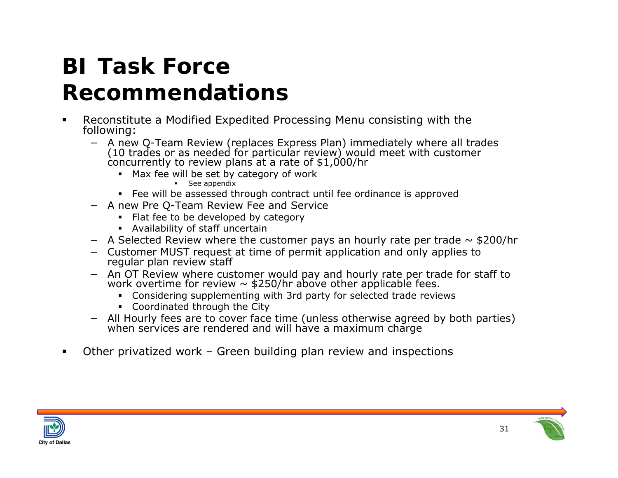# **BI Task Force**

#### **Recommendations**

- $\blacksquare$  Reconstitute a Modified Expedited Processing Menu consisting with the following:
	- A new O-Team Review (replaces Express Plan) immediately where all trades (10 trades or as needed for particular review) would meet with customer concurrently to review plans at a rate of  $$1,000/hr$ 
		- Max fee will be set by category of work
			- **See appendix**
		- Fee will be assessed through contract until fee ordinance is approved
	- − A new Pre Q-Team Review Fee and Service
		- Flat fee to be developed by category
		- Availability of staff uncertain
	- − A Selected Review where the customer pays an hourly rate per trade ~ \$200/hr
	- − Customer MUST request at time of permit application and only applies to regular plan review staff
	- − An OT Review where customer would pay and hourly rate per trade for staff to work overtime for review ~ \$250/hr above other applicable fees.
		- Considering supplementing with 3rd party for selected trade reviews
		- Coordinated through the City
	- − All Hourly fees are to cover face time (unless otherwise agreed by both parties) when services are rendered and will have a maximum charge
- $\blacksquare$ Other privatized work – Green building plan review and inspections



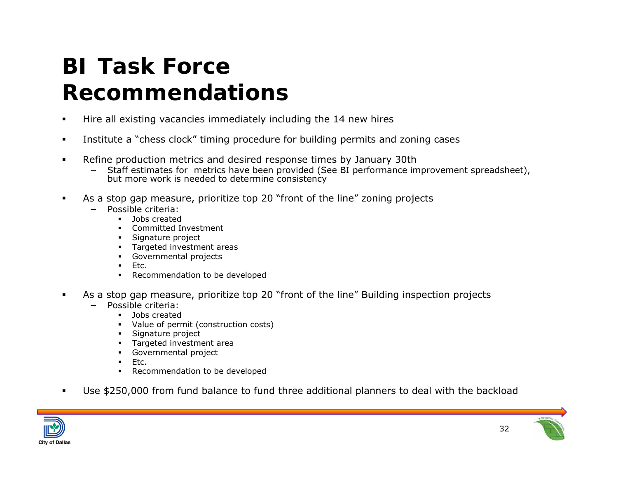#### **BI Task Force Recommendations**

- п Hire all existing vacancies immediately including the 14 new hires
- $\blacksquare$ Institute a "chess clock" timing procedure for building permits and zoning cases
- п Refine production metrics and desired response times by January 30th
	- − Staff estimates for metrics have been provided (See BI performance improvement spreadsheet), but more work is needed to determine consistency
- $\blacksquare$  As a stop gap measure, prioritize top 20 "front of the line" zoning projects
	- Possible criteria:
		- Jobs created
		- п Committed Investment
		- п Signature project
		- Targeted investment areas
		- Governmental projects
		- $\mathbf{u} = \mathbf{v}$ Etc.
		- Recommendation to be developed
- $\blacksquare$  As a stop gap measure, prioritize top 20 "front of the line" Building inspection projects
	- Possible criteria:

−

- Jobs created
- Value of permit (construction costs)
- $\mathbf{r}$ Signature project
- Targeted investment area
- $\mathbf{m}$  ,  $\mathbf{m}$ Governmental project
- $\mathbf{r}$ Etc.
- Recommendation to be developed
- $\blacksquare$ Use \$250,000 from fund balance to fund three additional planners to deal with the backload

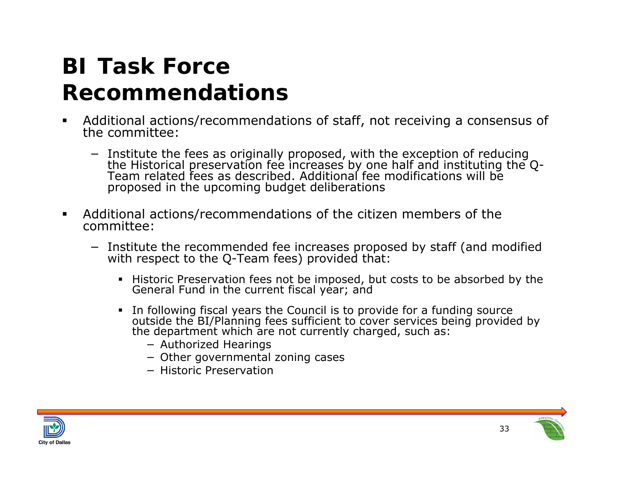#### **BI Task Force Recommendations**

- П Additional actions/recommendations of staff, not receiving a consensus of the committee:
	- − Institute the fees as originally proposed, with the exception of reducing the Historical preservation fee increases by one half and instituting the Q- Team related fees as described. Additional fee modifications will be proposed in the upcoming budget deliberations
- $\blacksquare$  Additional actions/recommendations of the citizen members of the committee:
	- − Institute the recommended fee increases proposed by staff (and modified with respect to the Q-Team fees) provided that:
		- Historic Preservation fees not be imposed, but costs to be absorbed by the General Fund in the current fiscal year; and
		- In following fiscal years the Council is to provide for a funding source outside the BI/Planning fees sufficient to cover services being provided by the department which are not currently charged, such as:
			- − Authorized Hearings
			- − Other governmental zoning cases
			- − Historic Preservation



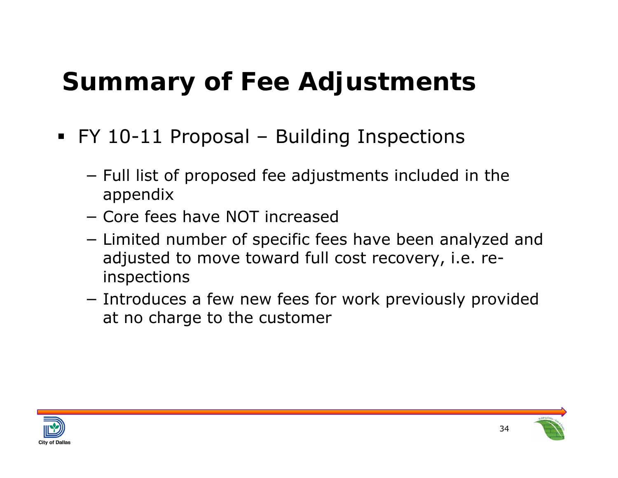## **Summary of Fee Adjustments**

- FY 10-11 Proposal Building Inspections
	- − $-$  Full list of proposed fee adjustments included in the appendix
	- − Core fees have NOT increased
	- −– Limited number of specific fees have been analyzed and adjusted to move toward full cost recovery, i.e. reinspections
	- − $-$  Introduces a few new fees for work previously provided at no charge to the customer



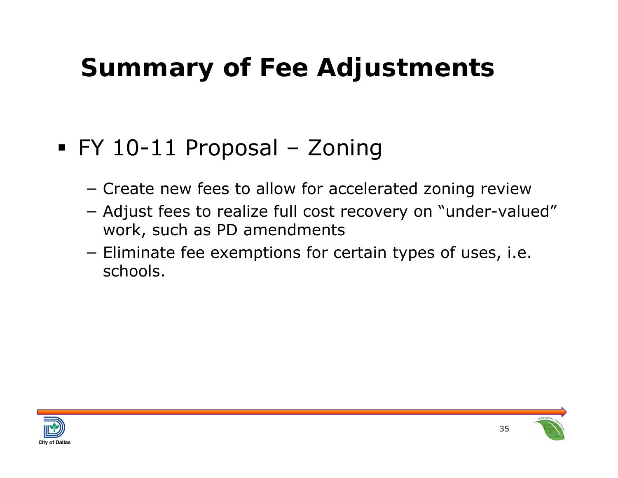## **Summary of Fee Adjustments**

- FY 10-11 Proposal Zoning
	- −Create new fees to allow for accelerated zoning review
	- − Adjust fees to realize full cost recovery on "under-valued" work, such as PD amendments
	- − $-$  Eliminate fee exemptions for certain types of uses, i.e. schools.



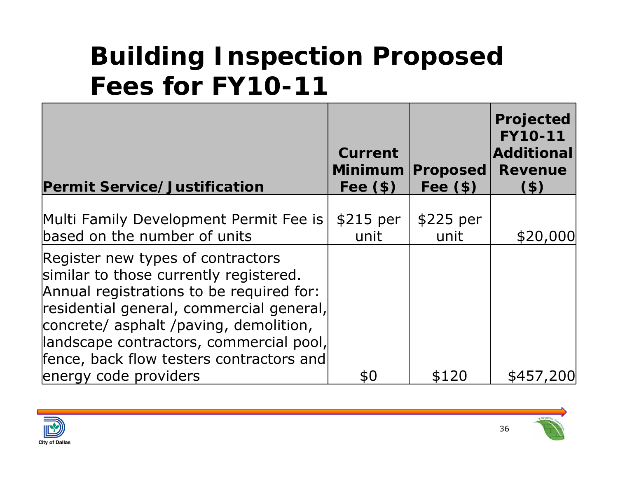|                                                                                                                                                                                                                                                                                                      | Current           |                   | Projected<br><b>FY10-11</b><br><b>Additional</b> |
|------------------------------------------------------------------------------------------------------------------------------------------------------------------------------------------------------------------------------------------------------------------------------------------------------|-------------------|-------------------|--------------------------------------------------|
|                                                                                                                                                                                                                                                                                                      | <b>Minimum</b>    | <b>Proposed</b>   | <b>Revenue</b>                                   |
| <b>Permit Service/Justification</b>                                                                                                                                                                                                                                                                  | Fee $(\$)$        | Fee $(\$)$        | $($ \$)                                          |
| Multi Family Development Permit Fee is<br>based on the number of units                                                                                                                                                                                                                               | \$215 per<br>unit | \$225 per<br>unit | \$20,000                                         |
| Register new types of contractors<br>similar to those currently registered.<br>Annual registrations to be required for:<br>residential general, commercial general,<br>concrete/ asphalt /paving, demolition,<br>landscape contractors, commercial pool,<br>fence, back flow testers contractors and |                   |                   |                                                  |
| energy code providers                                                                                                                                                                                                                                                                                | \$0               | \$120             | \$457,200                                        |

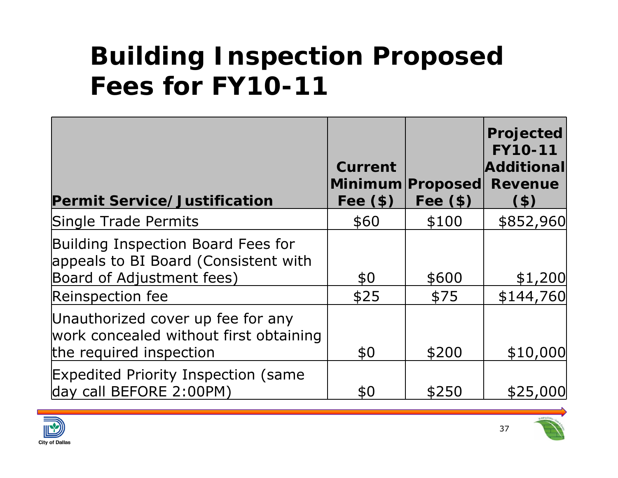| <b>Permit Service/Justification</b>                                                                     | Current<br>Fee $(\$)$ | Minimum Proposed<br>Fee $(\$)$ | Projected<br><b>FY10-11</b><br>Additional<br><b>Revenue</b><br>$($ \$) |
|---------------------------------------------------------------------------------------------------------|-----------------------|--------------------------------|------------------------------------------------------------------------|
| Single Trade Permits                                                                                    | \$60                  | \$100                          | \$852,960                                                              |
| Building Inspection Board Fees for<br>appeals to BI Board (Consistent with<br>Board of Adjustment fees) | \$0                   | \$600                          | \$1,200                                                                |
| Reinspection fee                                                                                        | \$25                  | \$75                           | \$144,760                                                              |
| Unauthorized cover up fee for any<br>work concealed without first obtaining<br>the required inspection  | \$0                   | \$200                          | \$10,000                                                               |
| <b>Expedited Priority Inspection (same</b><br>day call BEFORE 2:00PM)                                   | \$0                   | \$250                          | \$25,000                                                               |

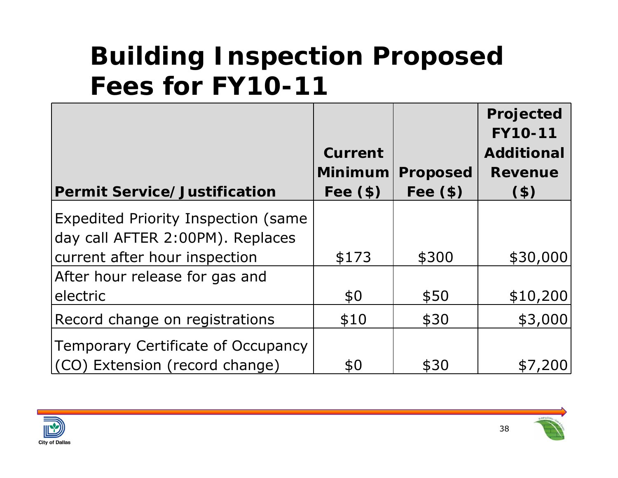|                                            |                |                 | Projected<br><b>FY10-11</b> |
|--------------------------------------------|----------------|-----------------|-----------------------------|
|                                            | Current        |                 | <b>Additional</b>           |
|                                            | <b>Minimum</b> | <b>Proposed</b> | <b>Revenue</b>              |
| <b>Permit Service/Justification</b>        | Fee $(\$)$     | Fee $(\$)$      | (3)                         |
| <b>Expedited Priority Inspection (same</b> |                |                 |                             |
| day call AFTER 2:00PM). Replaces           |                |                 |                             |
| current after hour inspection              | \$173          | \$300           | \$30,000                    |
| After hour release for gas and             |                |                 |                             |
| electric                                   | \$0            | \$50            | \$10,200                    |
| Record change on registrations             | \$10           | \$30            | \$3,000                     |
| Temporary Certificate of Occupancy         |                |                 |                             |
| (CO) Extension (record change)             | \$0            | \$30            | \$7,20                      |

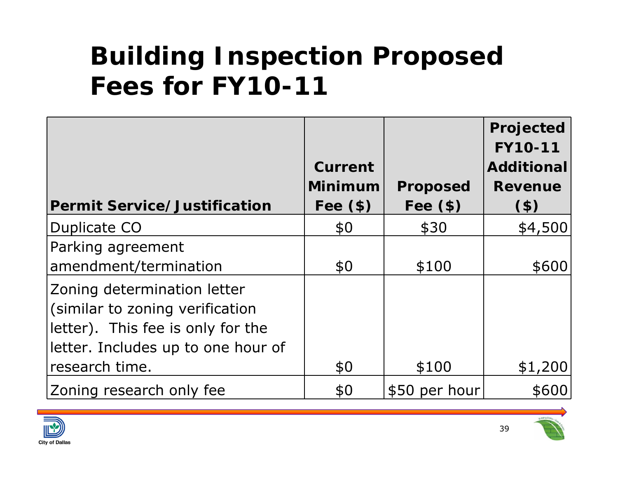|                                     |                              |                               | Projected<br><b>FY10-11</b> |
|-------------------------------------|------------------------------|-------------------------------|-----------------------------|
|                                     | Current                      |                               | <b>Additional</b>           |
| <b>Permit Service/Justification</b> | <b>Minimum</b><br>Fee $(\$)$ | <b>Proposed</b><br>Fee $(\$)$ | <b>Revenue</b><br>$($ \$)   |
|                                     |                              |                               |                             |
| Duplicate CO                        | \$0                          | \$30                          | \$4,500                     |
| Parking agreement                   |                              |                               |                             |
| amendment/termination               | \$0                          | \$100                         | \$600                       |
| Zoning determination letter         |                              |                               |                             |
| (similar to zoning verification     |                              |                               |                             |
| letter). This fee is only for the   |                              |                               |                             |
| letter. Includes up to one hour of  |                              |                               |                             |
| research time.                      | \$0                          | \$100                         | \$1,200                     |
| Zoning research only fee            | \$0                          | \$50 per hour                 | \$600                       |



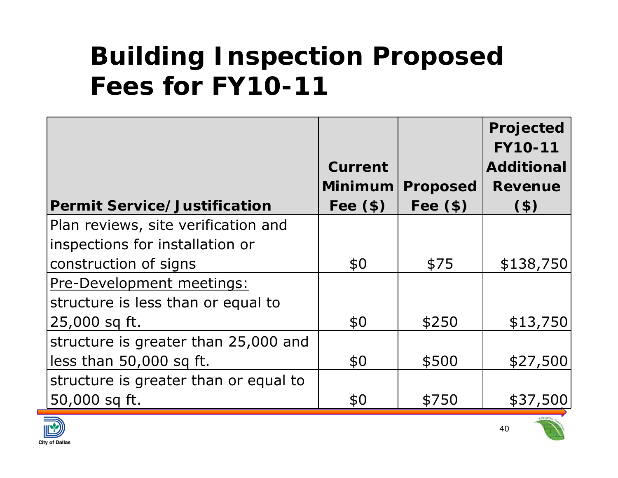|                                       |                |                 | Projected<br><b>FY10-11</b> |
|---------------------------------------|----------------|-----------------|-----------------------------|
|                                       | <b>Current</b> |                 | <b>Additional</b>           |
|                                       | Minimum        | <b>Proposed</b> | <b>Revenue</b>              |
| <b>Permit Service/Justification</b>   | Fee $(\$)$     | Fee $(\$)$      | $($ \$)                     |
| Plan reviews, site verification and   |                |                 |                             |
| inspections for installation or       |                |                 |                             |
| construction of signs                 | \$0            | \$75            | \$138,750                   |
| Pre-Development meetings:             |                |                 |                             |
| structure is less than or equal to    |                |                 |                             |
| 25,000 sq ft.                         | \$0            | \$250           | \$13,750                    |
| structure is greater than 25,000 and  |                |                 |                             |
| less than 50,000 sq ft.               | \$0            | \$500           | \$27,500                    |
| structure is greater than or equal to |                |                 |                             |
| 50,000 sq ft.                         | \$0            | \$750           | \$37,500                    |



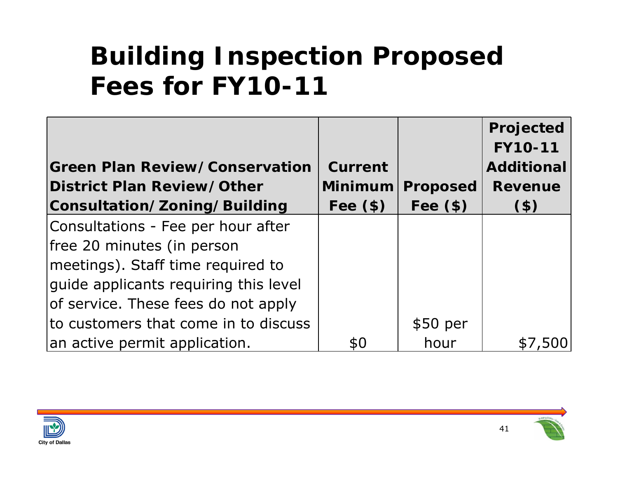|                                       |                |                 | Projected<br><b>FY10-11</b> |
|---------------------------------------|----------------|-----------------|-----------------------------|
| <b>Green Plan Review/Conservation</b> | <b>Current</b> |                 | <b>Additional</b>           |
| District Plan Review/Other            | Minimum        | <b>Proposed</b> | <b>Revenue</b>              |
| Consultation/Zoning/Building          | Fee $(\$)$     | Fee $(\$)$      | $($ \$)                     |
| Consultations - Fee per hour after    |                |                 |                             |
| free 20 minutes (in person            |                |                 |                             |
| meetings). Staff time required to     |                |                 |                             |
| guide applicants requiring this level |                |                 |                             |
| of service. These fees do not apply   |                |                 |                             |
| to customers that come in to discuss  |                | \$50~per        |                             |
| an active permit application.         | \$0            | hour            |                             |

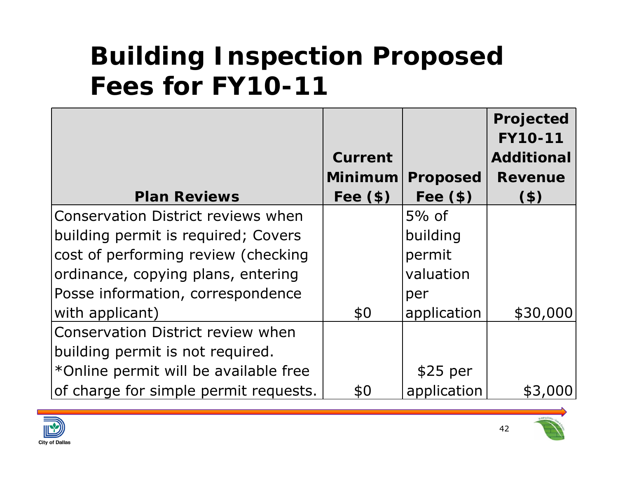|                                           |                |                 | Projected         |
|-------------------------------------------|----------------|-----------------|-------------------|
|                                           |                |                 | <b>FY10-11</b>    |
|                                           | <b>Current</b> |                 | <b>Additional</b> |
|                                           | <b>Minimum</b> | <b>Proposed</b> | <b>Revenue</b>    |
| <b>Plan Reviews</b>                       | Fee $(\$)$     | Fee $(\$)$      | $($ \$)           |
| <b>Conservation District reviews when</b> |                | $5\%$ of        |                   |
| building permit is required; Covers       |                | building        |                   |
| cost of performing review (checking       |                | permit          |                   |
| ordinance, copying plans, entering        |                | valuation       |                   |
| Posse information, correspondence         |                | per             |                   |
| with applicant)                           | \$0            | application     | \$30,000          |
| <b>Conservation District review when</b>  |                |                 |                   |
| building permit is not required.          |                |                 |                   |
| *Online permit will be available free     |                | $$25$ per       |                   |
| of charge for simple permit requests.     | \$0            | application     | \$3,000           |



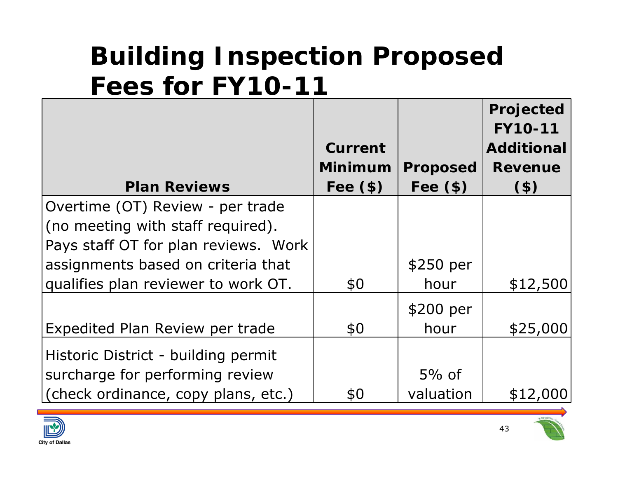|                                      |                |                 | Projected         |
|--------------------------------------|----------------|-----------------|-------------------|
|                                      |                |                 | <b>FY10-11</b>    |
|                                      | Current        |                 | <b>Additional</b> |
|                                      | <b>Minimum</b> | <b>Proposed</b> | <b>Revenue</b>    |
| <b>Plan Reviews</b>                  | Fee $(\$)$     | Fee $(\$)$      | (3)               |
| Overtime (OT) Review - per trade     |                |                 |                   |
| (no meeting with staff required).    |                |                 |                   |
| Pays staff OT for plan reviews. Work |                |                 |                   |
| assignments based on criteria that   |                | \$250 per       |                   |
| qualifies plan reviewer to work OT.  | \$0            | hour            | \$12,500          |
|                                      |                | \$200 per       |                   |
| Expedited Plan Review per trade      | \$0            | hour            | \$25,000          |
| Historic District - building permit  |                |                 |                   |
| surcharge for performing review      |                | $5%$ of         |                   |
| (check ordinance, copy plans, etc.)  | \$0            | valuation       | \$12,000          |



43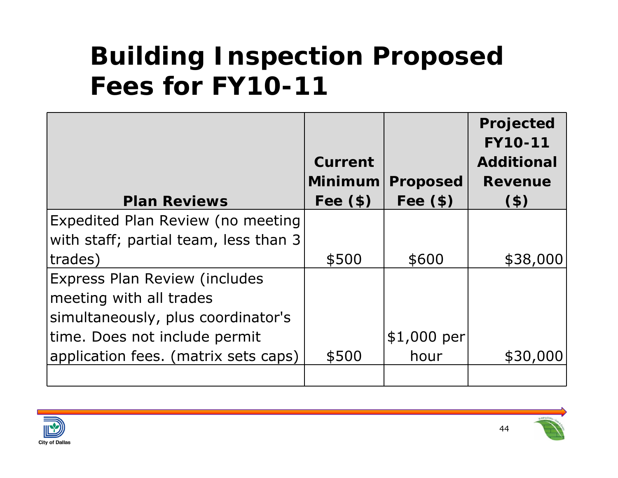|                                       |                |                 | Projected<br><b>FY10-11</b> |
|---------------------------------------|----------------|-----------------|-----------------------------|
|                                       | <b>Current</b> |                 | <b>Additional</b>           |
|                                       | <b>Minimum</b> | <b>Proposed</b> | <b>Revenue</b>              |
| <b>Plan Reviews</b>                   | Fee $(\$)$     | Fee $(\$)$      | $($ \$)                     |
| Expedited Plan Review (no meeting     |                |                 |                             |
| with staff; partial team, less than 3 |                |                 |                             |
| trades)                               | \$500          | \$600           | \$38,000                    |
| <b>Express Plan Review (includes</b>  |                |                 |                             |
| meeting with all trades               |                |                 |                             |
| simultaneously, plus coordinator's    |                |                 |                             |
| time. Does not include permit         |                | $$1,000$ per    |                             |
| application fees. (matrix sets caps)  | \$500          | hour            | \$30,000                    |
|                                       |                |                 |                             |

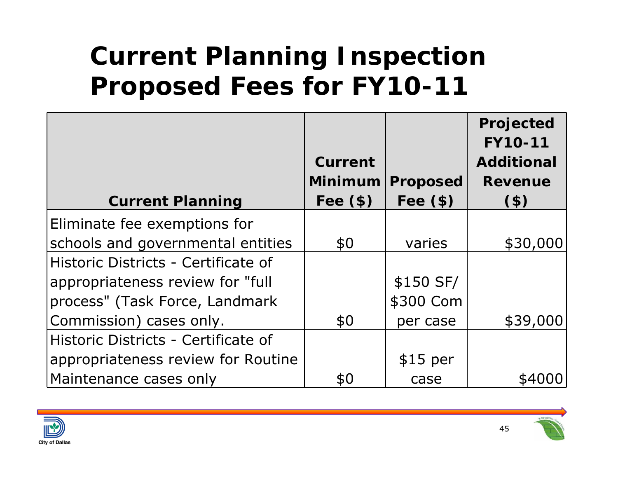## **Current Planning Inspection Proposed Fees for FY10-11**

|                                     |                |                 | Projected<br><b>FY10-11</b> |
|-------------------------------------|----------------|-----------------|-----------------------------|
|                                     | <b>Current</b> |                 | <b>Additional</b>           |
|                                     | <b>Minimum</b> | <b>Proposed</b> | <b>Revenue</b>              |
| <b>Current Planning</b>             | Fee $(\$)$     | Fee $(\$)$      | (3)                         |
| Eliminate fee exemptions for        |                |                 |                             |
| schools and governmental entities   | \$0            | varies          | \$30,000                    |
| Historic Districts - Certificate of |                |                 |                             |
| appropriateness review for "full    |                | \$150 SF/       |                             |
| process" (Task Force, Landmark      |                | \$300 Com       |                             |
| Commission) cases only.             | \$0            | per case        | \$39,000                    |
| Historic Districts - Certificate of |                |                 |                             |
| appropriateness review for Routine  |                | $$15$ per       |                             |
| Maintenance cases only              | \$0            | case            |                             |

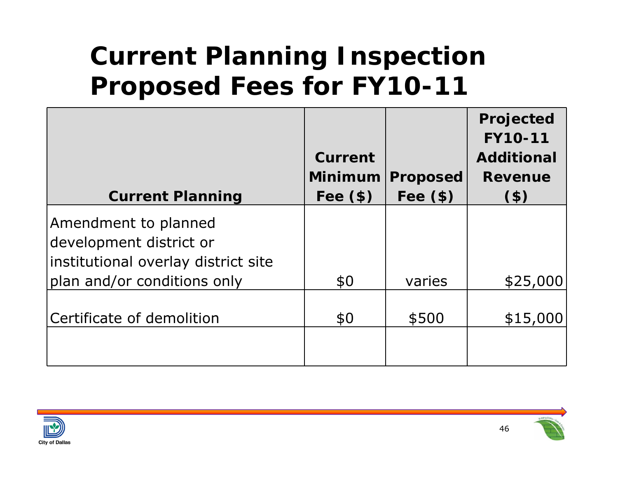## **Current Planning Inspection Proposed Fees for FY10-11**

|                                     |                |                 | Projected<br><b>FY10-11</b> |
|-------------------------------------|----------------|-----------------|-----------------------------|
|                                     | <b>Current</b> |                 | <b>Additional</b>           |
|                                     | Minimum        | <b>Proposed</b> | <b>Revenue</b>              |
| <b>Current Planning</b>             | Fee $(\$)$     | Fee $(\$)$      | $($ \$)                     |
| Amendment to planned                |                |                 |                             |
| development district or             |                |                 |                             |
| institutional overlay district site |                |                 |                             |
| plan and/or conditions only         | \$0            | varies          | \$25,000                    |
|                                     |                |                 |                             |
| Certificate of demolition           | \$0            | \$500           | \$15,000                    |
|                                     |                |                 |                             |
|                                     |                |                 |                             |



46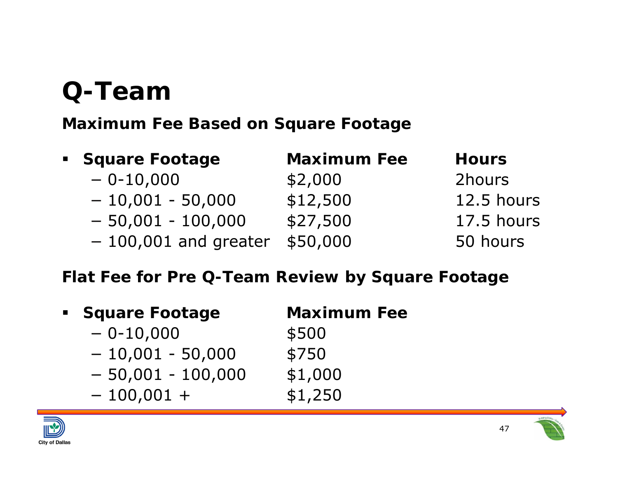## **Q-Team**

#### **Maximum Fee Based on Square Footage**

| • Square Footage       | <b>Maximum Fee</b> | <b>Hours</b> |
|------------------------|--------------------|--------------|
| $-0-10,000$            | \$2,000            | 2hours       |
| $-10,001 - 50,000$     | \$12,500           | 12.5 hours   |
| $-50,001 - 100,000$    | \$27,500           | 17.5 hours   |
| $-100,001$ and greater | \$50,000           | 50 hours     |

#### **Flat Fee for Pre Q-Team Review by Square Footage**

- **Square Footage Maximum Fee** − $-0-10,000$  \$500
	- −10,001 - 50,000 \$750
	- − $-50,001 - 100,000$  \$1,000
	- −
- 
- 
- $-100,001 +$  \$1,250



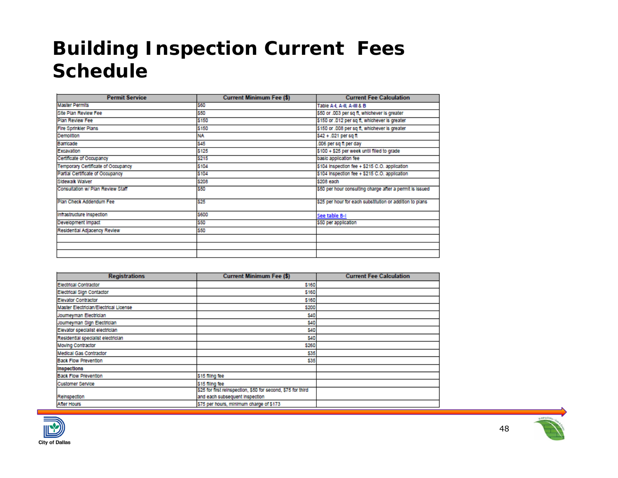#### **Building Inspection Current Fees Schedule**

| <b>Permit Service</b>              | <b>Current Minimum Fee (\$)</b> | <b>Current Fee Calculation</b>                           |
|------------------------------------|---------------------------------|----------------------------------------------------------|
| <b>Master Permits</b>              | 560                             | Table A-I, A-II, A-III & B                               |
| Site Plan Review Fee               | 550                             | \$50 or .003 per sq ft, whichever is greater             |
| <b>Plan Review Fee</b>             | \$150                           | \$150 or .012 per sq ft, whichever is greater            |
| <b>Fire Sprinkler Plans</b>        | \$150                           | \$150 or .008 per sq ft, whichever is greater            |
| <b>Demolition</b>                  | <b>NA</b>                       | \$42 + .021 per sq ft                                    |
| Barricade                          | \$45                            | .006 per sq ft per day                                   |
| Excavation                         | \$125                           | \$100 + \$25 per week until filled to grade              |
| Certificate of Occupancy           | \$215                           | basic application fee                                    |
| Temporary Certificate of Occupancy | \$104                           | \$104 Inspection fee + \$215 C.O. application            |
| Partial Certificate of Occupancy   | \$104                           | \$104 Inspection fee + \$215 C.O. application            |
| Sidewalk Walver                    | \$208                           | \$208 each                                               |
| Consultation w/ Plan Review Staff  | \$50                            | \$50 per hour consulting charge after a permit is issued |
| Plan Check Addendum Fee            | \$25                            | \$25 per hour for each substitution or addition to plans |
| Infrastructure Inspection          | \$600                           | See table B-I                                            |
| Development Impact                 | \$50                            | \$50 per application                                     |
| Residential Adjacency Review       | \$50                            |                                                          |
|                                    |                                 |                                                          |
|                                    |                                 |                                                          |
|                                    |                                 |                                                          |

| <b>Registrations</b>                  | <b>Current Minimum Fee (\$)</b>                              | <b>Current Fee Calculation</b> |
|---------------------------------------|--------------------------------------------------------------|--------------------------------|
| Electrical Contractor                 | \$160                                                        |                                |
| Electrical Sign Contactor             | \$160                                                        |                                |
| Elevator Contractor                   | \$160                                                        |                                |
| Master Electrician/Electrical License | \$200                                                        |                                |
| Journeyman Electrician                | \$40                                                         |                                |
| Journeyman Sign Electrician           | \$40                                                         |                                |
| Elevator specialist electrician       | \$40                                                         |                                |
| Residential specialist electrician    | \$40                                                         |                                |
| Moving Contractor                     | \$260                                                        |                                |
| Medical Gas Contractor                | \$35                                                         |                                |
| <b>Back Flow Prevention</b>           | \$35                                                         |                                |
| Inspections                           |                                                              |                                |
| <b>Back Flow Prevention</b>           | \$15 filing fee                                              |                                |
| <b>Customer Service</b>               | \$15 filing fee                                              |                                |
|                                       | \$25 for first reinspection, \$50 for second, \$75 for third |                                |
| Reinspection                          | and each subsequent inspection                               |                                |
| <b>After Hours</b>                    | \$75 per hours, minimum charge of \$173                      |                                |



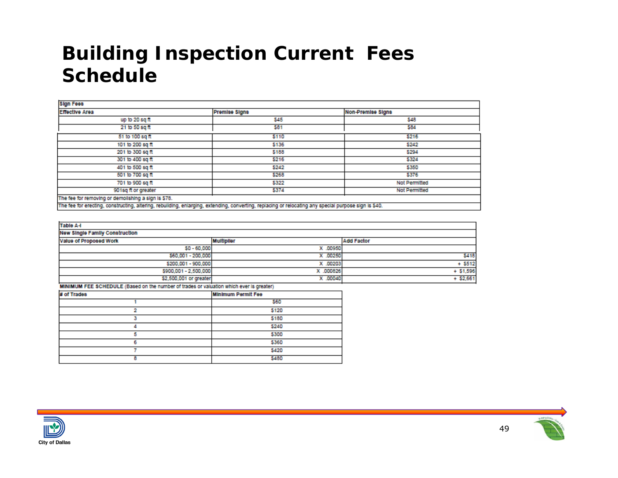#### **Building Inspection Current Fees Schedule**

| <b>Sign Fees</b>                                                                                                                                      |               |                          |  |  |  |
|-------------------------------------------------------------------------------------------------------------------------------------------------------|---------------|--------------------------|--|--|--|
| <b>Effective Area</b>                                                                                                                                 | Premise Signs | <b>Non-Premise Signs</b> |  |  |  |
| up to 20 sq ft                                                                                                                                        | \$45          | \$48                     |  |  |  |
| 21 to 50 sq ft                                                                                                                                        | \$81          | \$84                     |  |  |  |
| 51 to 100 sq ft                                                                                                                                       | \$110         | \$216                    |  |  |  |
| 101 to 200 sq ft                                                                                                                                      | \$136         | \$242                    |  |  |  |
| 201 to 300 sq ft                                                                                                                                      | \$188         | \$294                    |  |  |  |
| 301 to 400 sq ft                                                                                                                                      | \$216         | \$324                    |  |  |  |
| 401 to 500 sq ft                                                                                                                                      | \$242         | \$350                    |  |  |  |
| 501 to 700 sq ft                                                                                                                                      | \$268         | \$376                    |  |  |  |
| 701 to 900 sq ft                                                                                                                                      | \$322         | Not Permitted            |  |  |  |
| 901sq ft or greater                                                                                                                                   | \$374         | <b>Not Permitted</b>     |  |  |  |
| The fee for removing or demolishing a sign is \$78.                                                                                                   |               |                          |  |  |  |
| The fee for erecting, constructing, altering, rebuilding, enlarging, extending, converting, replacing or relocating any special purpose sign is \$40. |               |                          |  |  |  |

| <b>Table A-I</b>                      |                   |                   |  |  |  |  |
|---------------------------------------|-------------------|-------------------|--|--|--|--|
| <b>New Single Family Construction</b> |                   |                   |  |  |  |  |
| Value of Proposed Work                | <b>Multiplier</b> | <b>Add Factor</b> |  |  |  |  |
| $$0 - 60,000$                         | X .00950          |                   |  |  |  |  |
| \$60,001 - 200,000                    | X .00250          | \$418             |  |  |  |  |
| \$200,001 - 900,000                   | X .00203          | $+ 5512$          |  |  |  |  |
| \$900,001 - 2,500,000                 | X .000826         | $+ $1,596$        |  |  |  |  |
| \$2,500,001 or greater                | X .00040          | $+$ \$2,661       |  |  |  |  |

MINIMUM FEE SCHEDULE (Based on the number of trades or valuation which ever is greater)

| # of Trades | <b>Minimum Permit Fee</b> |
|-------------|---------------------------|
|             | \$60                      |
|             | \$120                     |
|             | \$180                     |
|             | \$240                     |
|             | \$300                     |
| б           | \$360                     |
|             | \$420                     |
| я           | \$480                     |



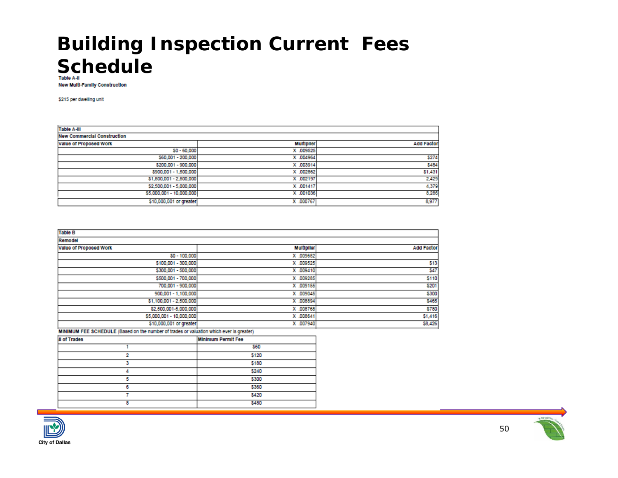#### **Building Inspection Current Fees ScheduleTable A-II**

**New Multi-Family Construction** 

\$215 per dwelling unit

| <b>Table A-III</b>                 |                   |                   |  |  |  |
|------------------------------------|-------------------|-------------------|--|--|--|
| <b>New Commercial Construction</b> |                   |                   |  |  |  |
| Value of Proposed Work             | <b>Multiplier</b> | <b>Add Factor</b> |  |  |  |
| $$0 - 60,000$                      | X .009525         |                   |  |  |  |
| \$60,001 - 200,000                 | X .004964         | \$274             |  |  |  |
| \$200,001 - 900,000                | X .003914         | \$484             |  |  |  |
| \$900,001 - 1,500,000              | X .002862         | \$1,431           |  |  |  |
| \$1,500,001 - 2,500,000            | X .002197         | 2,429             |  |  |  |
| \$2,500,001 - 5,000,000            | X .001417         | 4,379             |  |  |  |
| \$5,000,001 - 10,000,000           | X .001036         | 8,286             |  |  |  |
| \$10,000,001 or greater            | X .000767         | 8,977             |  |  |  |

| <b>Table B</b>           |                   |                   |  |  |  |  |
|--------------------------|-------------------|-------------------|--|--|--|--|
| Remodel                  |                   |                   |  |  |  |  |
| Value of Proposed Work   | <b>Multiplier</b> | <b>Add Factor</b> |  |  |  |  |
| $$0 - 100,000$           | X .009652         |                   |  |  |  |  |
| \$100,001 - 300,000      | X .009525         | \$13              |  |  |  |  |
| \$300,001 - 500,000      | X .009410         | \$47              |  |  |  |  |
| \$500,001 - 700,000      | X .009285         | \$110             |  |  |  |  |
| 700,001 - 900,000        | X .009155         | \$201             |  |  |  |  |
| 900,001 - 1,100,000      | X .009045         | \$300             |  |  |  |  |
| \$1,100,001 - 2,500,000  | X .008894         | \$465             |  |  |  |  |
| \$2,500,001-5,000,000    | X .008768         | \$780             |  |  |  |  |
| \$5,000,001 - 10,000,000 | X .008641         | \$1,416           |  |  |  |  |
| \$10,000,001 or greater  | X .007940         | \$8,426           |  |  |  |  |

MINIMUM FEE SCHEDULE (Based on the number of trades or valuation which ever is greater)

| # of Trades | <b>Minimum Permit Fee</b> |
|-------------|---------------------------|
|             | 560                       |
|             | \$120                     |
|             | \$180                     |
|             | \$240                     |
|             | \$300                     |
|             | \$360                     |
|             | \$420                     |
| ۰           | \$480                     |

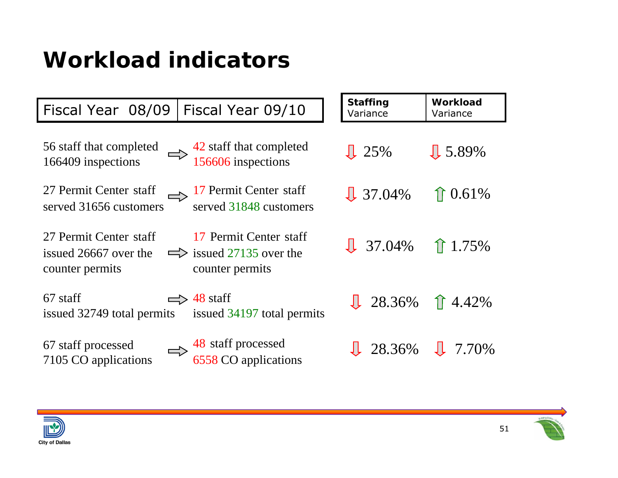#### **Workload indicators**

| Fiscal Year 08/09                                                  | Fiscal Year 09/10                                                                | <b>Staffing</b><br>Variance            | <b>Workload</b><br>Variance |
|--------------------------------------------------------------------|----------------------------------------------------------------------------------|----------------------------------------|-----------------------------|
| 56 staff that completed<br>166409 inspections                      | $\Rightarrow$ 42 staff that completed<br>156606 inspections                      | $\sqrt{25\%}$                          | $\sqrt{5.89\%}$             |
| 27 Permit Center staff<br>served 31656 customers                   | $\Rightarrow$ 17 Permit Center staff<br>served 31848 customers                   | $\sqrt{37.04\%}$                       | $\hat{1}$ 0.61%             |
| 27 Permit Center staff<br>issued 26667 over the<br>counter permits | 17 Permit Center staff<br>$\Rightarrow$ issued 27135 over the<br>counter permits | $\sqrt{1}$ 37.04% $\hat{\ }$ 1.75%     |                             |
| 67 staff<br>issued 32749 total permits                             | $\Rightarrow$ 48 staff<br>issued 34197 total permits                             | $\sqrt{28.36\%}$ 1 4.42%               |                             |
| 67 staff processed<br>7105 CO applications                         | $\Rightarrow$ 48 staff processed<br>6558 CO applications                         | $\downarrow$ 28.36% $\downarrow$ 7.70% |                             |



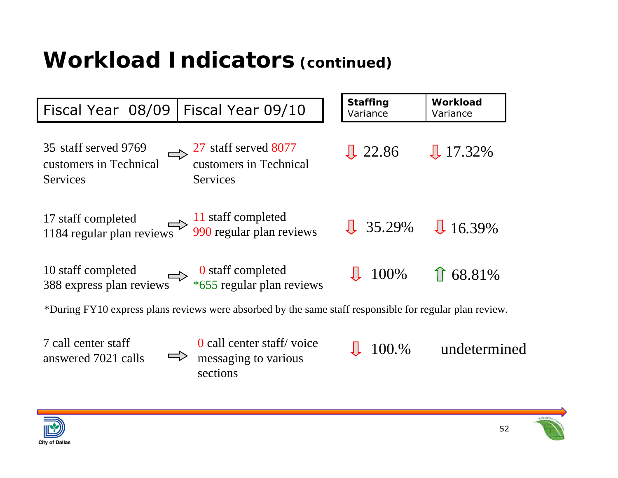#### **Workload Indicators (continued)**





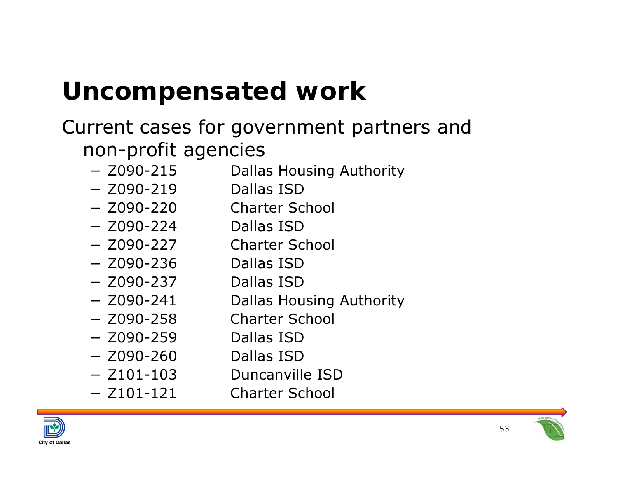## **Uncompensated work**

#### Current cases for government partners and non-profit agencies

- −Dallas Housing Authority
- − Z090-219 Dallas ISD
- − Z090-220 Charter School
- − Z090-224 Dallas ISD
- − Z090-227 Charter School
- − Z090-236 Dallas ISD
- − Z090-237 Dallas ISD
	- Dallas Housing Authority
		- Charter School
- − Z090-259 Dallas ISD
- − Z090-260 Dallas ISD
	- Duncanville ISD

Charter School

−

 $- 7101 - 103$ 

 $-$  Z090-241

− Z090-258



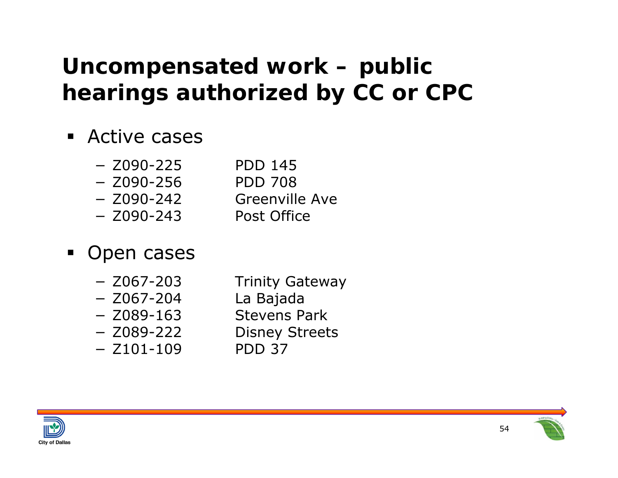#### **Uncompensated work – public hearings authorized by CC or CPC**

- Active cases
	- − Z090-225 PDD 145
	- − Z090-256 PDD 708
	-
	- − Z090-243
	- − Z090-242 Greenville Ave Post Office
- $\blacksquare$  Open cases
	- $-$  Z067-203
	- − Z067-204 La Bajada
	-
	- −
	- − Z101-109 PDD 37
- **Trinity Gateway**
- 
- − Z089-163 Stevens Park
	- **Disney Streets**
	-



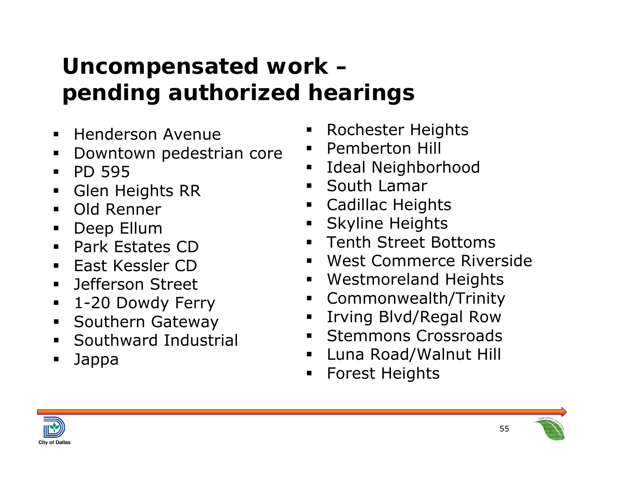### **Uncompensated work – pending authorized hearings**

- $\blacksquare$ Henderson Avenue
- ш Downtown pedestrian core
- $\blacksquare$ PD 595
- $\blacksquare$ Glen Heights RR
- Old Renner
- $\blacksquare$ Deep Ellum
- Park Estates CD
- East Kessler CD
- **Defferson Street**
- $\blacksquare$ 1-20 Dowdy Ferry
- $\blacksquare$ Southern Gateway
- Southward Industrial
- Jappa
- Rochester Heights
- $\blacksquare$ Pemberton Hill
- **Ease I deal Neighborhood**
- **South Lamar**
- Cadillac Heights
- $\blacksquare$  . Skyline Heights
- Tenth Street Bottoms
- West Commerce Riverside
- Westmoreland Heights
- Commonwealth/Trinity
- $\blacksquare$ Irving Blvd/Regal Row
- **Stemmons Crossroads**
- $\blacksquare$ Luna Road/Walnut Hill
- ٠ Forest Heights



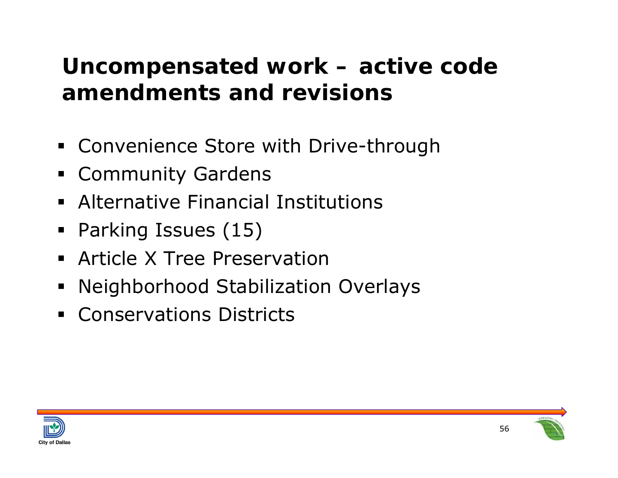#### **Uncompensated work – active code amendments and revisions**

- Convenience Store with Drive-through
- **Exammunity Gardens**
- Alternative Financial Institutions
- E Parking Issues (15)
- **Article X Tree Preservation**
- E Neighborhood Stabilization Overlays
- **Conservations Districts**



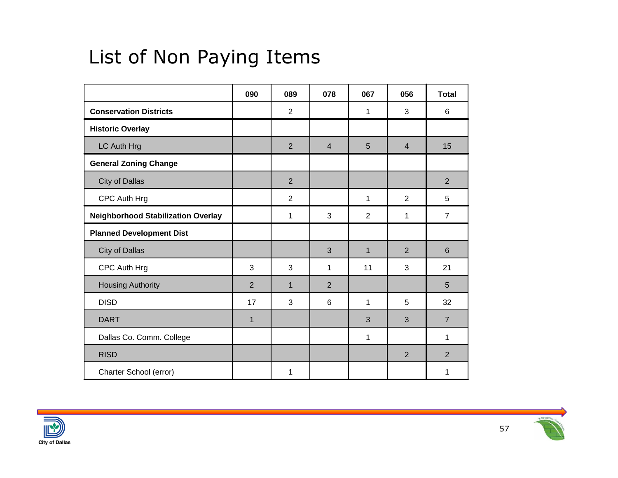#### List of Non Paying Items

|                                           | 090            | 089            | 078            | 067            | 056            | <b>Total</b>   |
|-------------------------------------------|----------------|----------------|----------------|----------------|----------------|----------------|
| <b>Conservation Districts</b>             |                | $\overline{2}$ |                | 1              | 3              | 6              |
| <b>Historic Overlay</b>                   |                |                |                |                |                |                |
| LC Auth Hrg                               |                | $\overline{2}$ | $\overline{4}$ | 5              | $\overline{4}$ | 15             |
| <b>General Zoning Change</b>              |                |                |                |                |                |                |
| City of Dallas                            |                | $\overline{2}$ |                |                |                | $\overline{2}$ |
| CPC Auth Hrg                              |                | $\overline{2}$ |                | 1              | 2              | 5              |
| <b>Neighborhood Stabilization Overlay</b> |                | 1              | 3              | $\overline{2}$ | 1              | $\overline{7}$ |
| <b>Planned Development Dist</b>           |                |                |                |                |                |                |
| City of Dallas                            |                |                | 3              | $\mathbf{1}$   | 2              | $6\phantom{1}$ |
| CPC Auth Hrg                              | 3              | 3              | 1              | 11             | 3              | 21             |
| <b>Housing Authority</b>                  | $\overline{2}$ | $\mathbf 1$    | $\overline{2}$ |                |                | 5              |
| <b>DISD</b>                               | 17             | 3              | 6              | 1              | 5              | 32             |
| <b>DART</b>                               | $\mathbf{1}$   |                |                | 3              | 3              | $\overline{7}$ |
| Dallas Co. Comm. College                  |                |                |                | 1              |                | $\mathbf{1}$   |
| <b>RISD</b>                               |                |                |                |                | 2              | $\overline{2}$ |
| Charter School (error)                    |                | 1              |                |                |                | 1              |